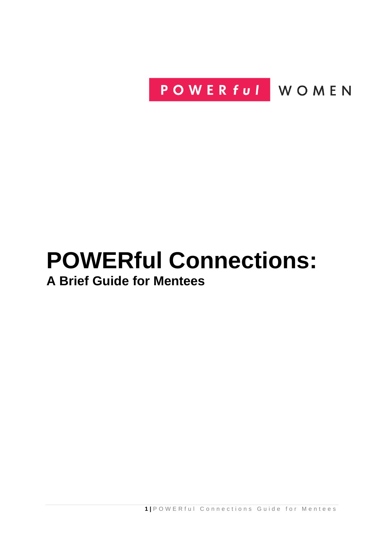POWER ful WOMEN

# **POWERful Connections: A Brief Guide for Mentees**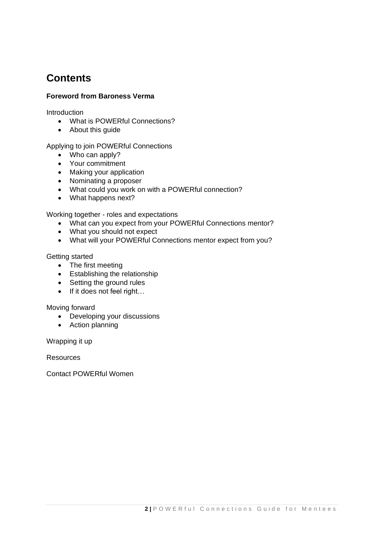## **Contents**

### **Foreword from Baroness Verma**

**Introduction** 

- What is POWERful Connections?
- About this guide

### Applying to join POWERful Connections

- Who can apply?
- Your commitment
- Making your application
- Nominating a proposer
- What could you work on with a POWERful connection?
- What happens next?

Working together - roles and expectations

- What can you expect from your POWERful Connections mentor?
- What you should not expect
- What will your POWERful Connections mentor expect from you?

### Getting started

- The first meeting
- Establishing the relationship
- Setting the ground rules
- If it does not feel right...

Moving forward

- Developing your discussions
- Action planning

Wrapping it up

Resources

Contact POWERful Women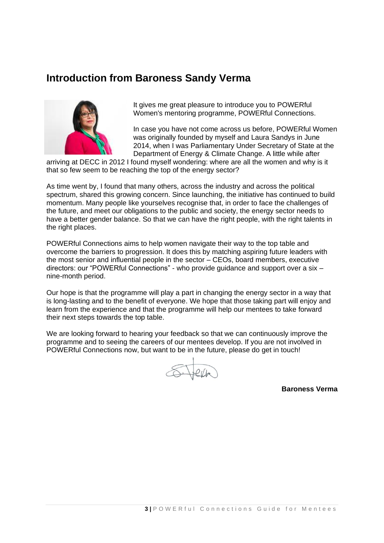### **Introduction from Baroness Sandy Verma**



It gives me great pleasure to introduce you to POWERful Women's mentoring programme, POWERful Connections.

In case you have not come across us before, POWERful Women was originally founded by myself and Laura Sandys in June 2014, when I was Parliamentary Under Secretary of State at the Department of Energy & Climate Change. A little while after

arriving at DECC in 2012 I found myself wondering: where are all the women and why is it that so few seem to be reaching the top of the energy sector?

As time went by, I found that many others, across the industry and across the political spectrum, shared this growing concern. Since launching, the initiative has continued to build momentum. Many people like yourselves recognise that, in order to face the challenges of the future, and meet our obligations to the public and society, the energy sector needs to have a better gender balance. So that we can have the right people, with the right talents in the right places.

POWERful Connections aims to help women navigate their way to the top table and overcome the barriers to progression. It does this by matching aspiring future leaders with the most senior and influential people in the sector – CEOs, board members, executive directors: our "POWERful Connections" - who provide guidance and support over a six – nine-month period.

Our hope is that the programme will play a part in changing the energy sector in a way that is long-lasting and to the benefit of everyone. We hope that those taking part will enjoy and learn from the experience and that the programme will help our mentees to take forward their next steps towards the top table.

We are looking forward to hearing your feedback so that we can continuously improve the programme and to seeing the careers of our mentees develop. If you are not involved in POWERful Connections now, but want to be in the future, please do get in touch!

S. Jeff

**Baroness Verma**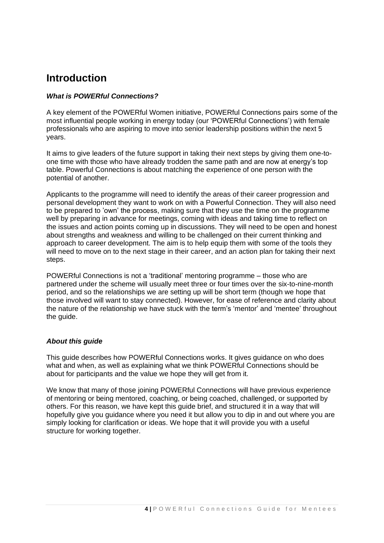### **Introduction**

### *What is POWERful Connections?*

A key element of the POWERful Women initiative, POWERful Connections pairs some of the most influential people working in energy today (our 'POWERful Connections') with female professionals who are aspiring to move into senior leadership positions within the next 5 years.

It aims to give leaders of the future support in taking their next steps by giving them one-toone time with those who have already trodden the same path and are now at energy's top table. Powerful Connections is about matching the experience of one person with the potential of another.

Applicants to the programme will need to identify the areas of their career progression and personal development they want to work on with a Powerful Connection. They will also need to be prepared to 'own' the process, making sure that they use the time on the programme well by preparing in advance for meetings, coming with ideas and taking time to reflect on the issues and action points coming up in discussions. They will need to be open and honest about strengths and weakness and willing to be challenged on their current thinking and approach to career development. The aim is to help equip them with some of the tools they will need to move on to the next stage in their career, and an action plan for taking their next steps.

POWERful Connections is not a 'traditional' mentoring programme – those who are partnered under the scheme will usually meet three or four times over the six-to-nine-month period, and so the relationships we are setting up will be short term (though we hope that those involved will want to stay connected). However, for ease of reference and clarity about the nature of the relationship we have stuck with the term's 'mentor' and 'mentee' throughout the guide.

### *About this guide*

This guide describes how POWERful Connections works. It gives guidance on who does what and when, as well as explaining what we think POWERful Connections should be about for participants and the value we hope they will get from it.

We know that many of those joining POWERful Connections will have previous experience of mentoring or being mentored, coaching, or being coached, challenged, or supported by others. For this reason, we have kept this guide brief, and structured it in a way that will hopefully give you guidance where you need it but allow you to dip in and out where you are simply looking for clarification or ideas. We hope that it will provide you with a useful structure for working together.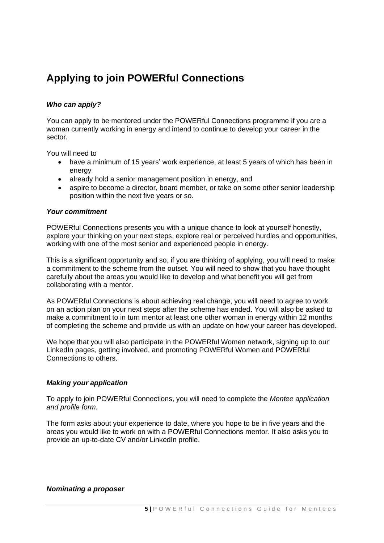# **Applying to join POWERful Connections**

### *Who can apply?*

You can apply to be mentored under the POWERful Connections programme if you are a woman currently working in energy and intend to continue to develop your career in the sector.

You will need to

- have a minimum of 15 years' work experience, at least 5 years of which has been in energy
- already hold a senior management position in energy, and
- aspire to become a director, board member, or take on some other senior leadership position within the next five years or so.

#### *Your commitment*

POWERful Connections presents you with a unique chance to look at yourself honestly, explore your thinking on your next steps, explore real or perceived hurdles and opportunities, working with one of the most senior and experienced people in energy.

This is a significant opportunity and so, if you are thinking of applying, you will need to make a commitment to the scheme from the outset. You will need to show that you have thought carefully about the areas you would like to develop and what benefit you will get from collaborating with a mentor.

As POWERful Connections is about achieving real change, you will need to agree to work on an action plan on your next steps after the scheme has ended. You will also be asked to make a commitment to in turn mentor at least one other woman in energy within 12 months of completing the scheme and provide us with an update on how your career has developed.

We hope that you will also participate in the POWERful Women network, signing up to our LinkedIn pages, getting involved, and promoting POWERful Women and POWERful Connections to others.

#### *Making your application*

To apply to join POWERful Connections, you will need to complete the *Mentee application and profile form.*

The form asks about your experience to date, where you hope to be in five years and the areas you would like to work on with a POWERful Connections mentor. It also asks you to provide an up-to-date CV and/or LinkedIn profile.

#### *Nominating a proposer*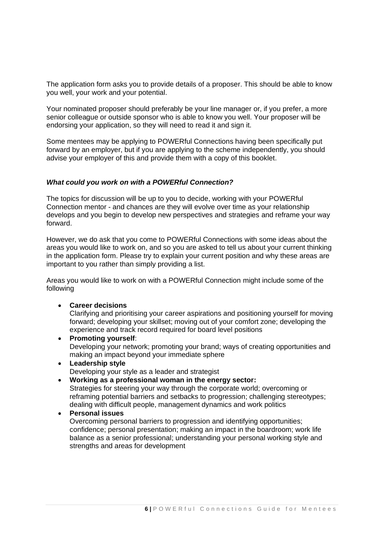The application form asks you to provide details of a proposer. This should be able to know you well, your work and your potential.

Your nominated proposer should preferably be your line manager or, if you prefer, a more senior colleague or outside sponsor who is able to know you well. Your proposer will be endorsing your application, so they will need to read it and sign it.

Some mentees may be applying to POWERful Connections having been specifically put forward by an employer, but if you are applying to the scheme independently, you should advise your employer of this and provide them with a copy of this booklet.

#### *What could you work on with a POWERful Connection?*

The topics for discussion will be up to you to decide, working with your POWERful Connection mentor - and chances are they will evolve over time as your relationship develops and you begin to develop new perspectives and strategies and reframe your way forward.

However, we do ask that you come to POWERful Connections with some ideas about the areas you would like to work on, and so you are asked to tell us about your current thinking in the application form. Please try to explain your current position and why these areas are important to you rather than simply providing a list.

Areas you would like to work on with a POWERful Connection might include some of the following

• **Career decisions**

Clarifying and prioritising your career aspirations and positioning yourself for moving forward; developing your skillset; moving out of your comfort zone; developing the experience and track record required for board level positions

- **Promoting yourself**: Developing your network; promoting your brand; ways of creating opportunities and making an impact beyond your immediate sphere
- **Leadership style** Developing your style as a leader and strategist
- **Working as a professional woman in the energy sector:** Strategies for steering your way through the corporate world; overcoming or reframing potential barriers and setbacks to progression; challenging stereotypes; dealing with difficult people, management dynamics and work politics

### • **Personal issues**

Overcoming personal barriers to progression and identifying opportunities; confidence; personal presentation; making an impact in the boardroom; work life balance as a senior professional; understanding your personal working style and strengths and areas for development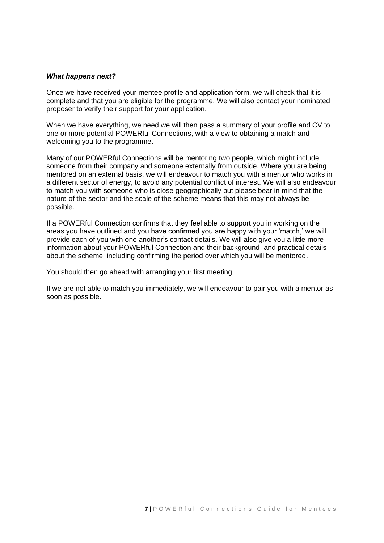#### *What happens next?*

Once we have received your mentee profile and application form, we will check that it is complete and that you are eligible for the programme. We will also contact your nominated proposer to verify their support for your application.

When we have everything, we need we will then pass a summary of your profile and CV to one or more potential POWERful Connections, with a view to obtaining a match and welcoming you to the programme.

Many of our POWERful Connections will be mentoring two people, which might include someone from their company and someone externally from outside. Where you are being mentored on an external basis, we will endeavour to match you with a mentor who works in a different sector of energy, to avoid any potential conflict of interest. We will also endeavour to match you with someone who is close geographically but please bear in mind that the nature of the sector and the scale of the scheme means that this may not always be possible.

If a POWERful Connection confirms that they feel able to support you in working on the areas you have outlined and you have confirmed you are happy with your 'match,' we will provide each of you with one another's contact details. We will also give you a little more information about your POWERful Connection and their background, and practical details about the scheme, including confirming the period over which you will be mentored.

You should then go ahead with arranging your first meeting.

If we are not able to match you immediately, we will endeavour to pair you with a mentor as soon as possible.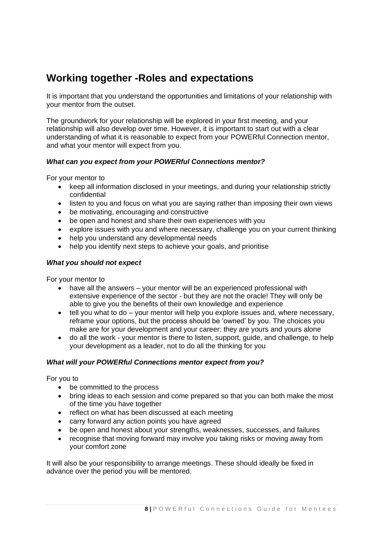## **Working together -Roles and expectations**

It is important that you understand the opportunities and limitations of your relationship with your mentor from the outset.

The groundwork for your relationship will be explored in your first meeting, and your relationship will also develop over time. However, it is important to start out with a clear understanding of what it is reasonable to expect from your POWERful Connection mentor, and what your mentor will expect from you.

### *What can you expect from your POWERful Connections mentor?*

For your mentor to

- keep all information disclosed in your meetings, and during your relationship strictly confidential
- listen to you and focus on what you are saying rather than imposing their own views
- be motivating, encouraging and constructive
- be open and honest and share their own experiences with you
- explore issues with you and where necessary, challenge you on your current thinking
- help you understand any developmental needs
- help you identify next steps to achieve your goals, and prioritise

### *What you should not expect*

For your mentor to

- have all the answers your mentor will be an experienced professional with extensive experience of the sector - but they are not the oracle! They will only be able to give you the benefits of their own knowledge and experience
- $\bullet$  tell you what to do  $-$  your mentor will help you explore issues and, where necessary, reframe your options, but the process should be 'owned' by you. The choices you make are for your development and your career: they are yours and yours alone
- do all the work your mentor is there to listen, support, guide, and challenge, to help your development as a leader, not to do all the thinking for you

### *What will your POWERful Connections mentor expect from you?*

For you to

- be committed to the process
- bring ideas to each session and come prepared so that you can both make the most of the time you have together
- reflect on what has been discussed at each meeting
- carry forward any action points you have agreed
- be open and honest about your strengths, weaknesses, successes, and failures
- recognise that moving forward may involve you taking risks or moving away from your comfort zone

It will also be your responsibility to arrange meetings. These should ideally be fixed in advance over the period you will be mentored.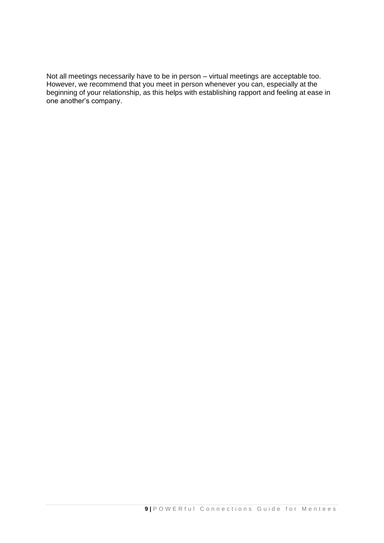Not all meetings necessarily have to be in person – virtual meetings are acceptable too. However, we recommend that you meet in person whenever you can, especially at the beginning of your relationship, as this helps with establishing rapport and feeling at ease in one another's company.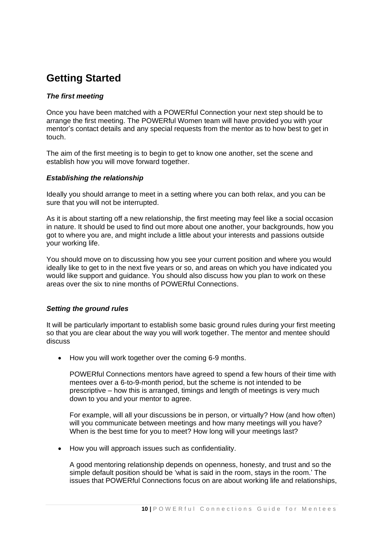### **Getting Started**

### *The first meeting*

Once you have been matched with a POWERful Connection your next step should be to arrange the first meeting. The POWERful Women team will have provided you with your mentor's contact details and any special requests from the mentor as to how best to get in touch.

The aim of the first meeting is to begin to get to know one another, set the scene and establish how you will move forward together.

### *Establishing the relationship*

Ideally you should arrange to meet in a setting where you can both relax, and you can be sure that you will not be interrupted.

As it is about starting off a new relationship, the first meeting may feel like a social occasion in nature. It should be used to find out more about one another, your backgrounds, how you got to where you are, and might include a little about your interests and passions outside your working life.

You should move on to discussing how you see your current position and where you would ideally like to get to in the next five years or so, and areas on which you have indicated you would like support and guidance. You should also discuss how you plan to work on these areas over the six to nine months of POWERful Connections.

### *Setting the ground rules*

It will be particularly important to establish some basic ground rules during your first meeting so that you are clear about the way you will work together. The mentor and mentee should discuss

• How you will work together over the coming 6-9 months.

POWERful Connections mentors have agreed to spend a few hours of their time with mentees over a 6-to-9-month period, but the scheme is not intended to be prescriptive – how this is arranged, timings and length of meetings is very much down to you and your mentor to agree.

For example, will all your discussions be in person, or virtually? How (and how often) will you communicate between meetings and how many meetings will you have? When is the best time for you to meet? How long will your meetings last?

• How you will approach issues such as confidentiality.

A good mentoring relationship depends on openness, honesty, and trust and so the simple default position should be 'what is said in the room, stays in the room.' The issues that POWERful Connections focus on are about working life and relationships,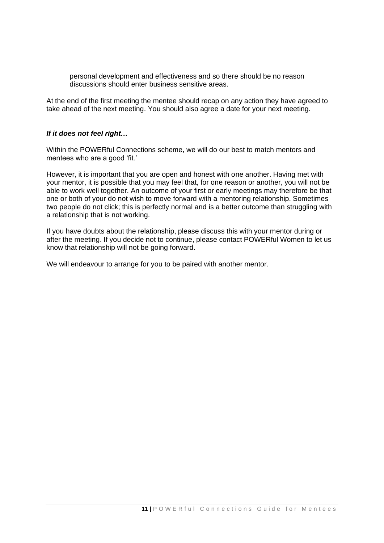personal development and effectiveness and so there should be no reason discussions should enter business sensitive areas.

At the end of the first meeting the mentee should recap on any action they have agreed to take ahead of the next meeting. You should also agree a date for your next meeting.

#### *If it does not feel right…*

Within the POWERful Connections scheme, we will do our best to match mentors and mentees who are a good 'fit.'

However, it is important that you are open and honest with one another. Having met with your mentor, it is possible that you may feel that, for one reason or another, you will not be able to work well together. An outcome of your first or early meetings may therefore be that one or both of your do not wish to move forward with a mentoring relationship. Sometimes two people do not click; this is perfectly normal and is a better outcome than struggling with a relationship that is not working.

If you have doubts about the relationship, please discuss this with your mentor during or after the meeting. If you decide not to continue, please contact POWERful Women to let us know that relationship will not be going forward.

We will endeavour to arrange for you to be paired with another mentor.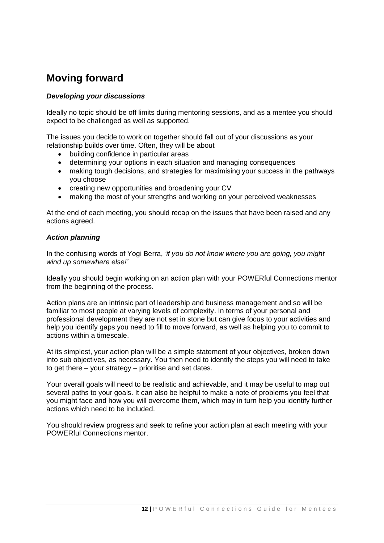### **Moving forward**

### *Developing your discussions*

Ideally no topic should be off limits during mentoring sessions, and as a mentee you should expect to be challenged as well as supported.

The issues you decide to work on together should fall out of your discussions as your relationship builds over time. Often, they will be about

- building confidence in particular areas
- determining your options in each situation and managing consequences
- making tough decisions, and strategies for maximising your success in the pathways you choose
- creating new opportunities and broadening your CV
- making the most of your strengths and working on your perceived weaknesses

At the end of each meeting, you should recap on the issues that have been raised and any actions agreed.

### *Action planning*

In the confusing words of Yogi Berra, *'if you do not know where you are going, you might wind up somewhere else!'*

Ideally you should begin working on an action plan with your POWERful Connections mentor from the beginning of the process.

Action plans are an intrinsic part of leadership and business management and so will be familiar to most people at varying levels of complexity. In terms of your personal and professional development they are not set in stone but can give focus to your activities and help you identify gaps you need to fill to move forward, as well as helping you to commit to actions within a timescale.

At its simplest, your action plan will be a simple statement of your objectives, broken down into sub objectives, as necessary. You then need to identify the steps you will need to take to get there – your strategy – prioritise and set dates.

Your overall goals will need to be realistic and achievable, and it may be useful to map out several paths to your goals. It can also be helpful to make a note of problems you feel that you might face and how you will overcome them, which may in turn help you identify further actions which need to be included.

You should review progress and seek to refine your action plan at each meeting with your POWERful Connections mentor.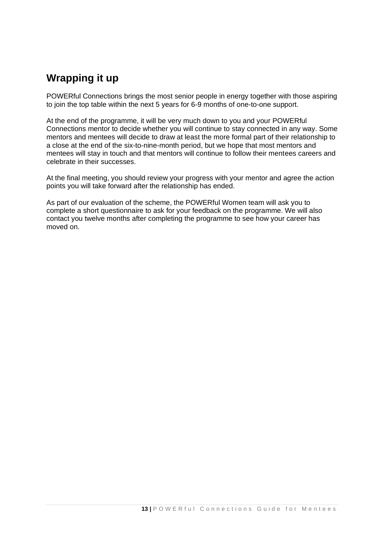# **Wrapping it up**

POWERful Connections brings the most senior people in energy together with those aspiring to join the top table within the next 5 years for 6-9 months of one-to-one support.

At the end of the programme, it will be very much down to you and your POWERful Connections mentor to decide whether you will continue to stay connected in any way. Some mentors and mentees will decide to draw at least the more formal part of their relationship to a close at the end of the six-to-nine-month period, but we hope that most mentors and mentees will stay in touch and that mentors will continue to follow their mentees careers and celebrate in their successes.

At the final meeting, you should review your progress with your mentor and agree the action points you will take forward after the relationship has ended.

As part of our evaluation of the scheme, the POWERful Women team will ask you to complete a short questionnaire to ask for your feedback on the programme. We will also contact you twelve months after completing the programme to see how your career has moved on.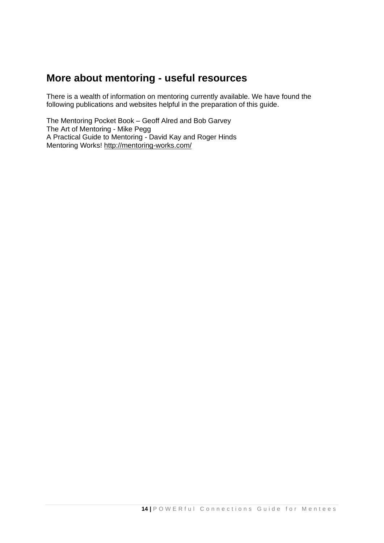### **More about mentoring - useful resources**

There is a wealth of information on mentoring currently available. We have found the following publications and websites helpful in the preparation of this guide.

The Mentoring Pocket Book – Geoff Alred and Bob Garvey The Art of Mentoring - Mike Pegg A Practical Guide to Mentoring - David Kay and Roger Hinds Mentoring Works!<http://mentoring-works.com/>